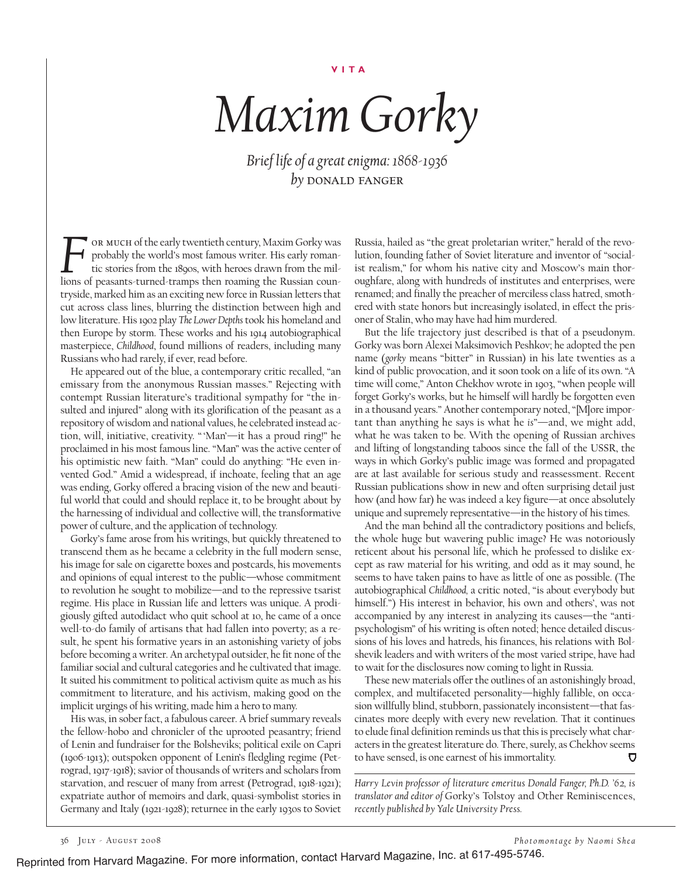*Maxim Gorky*

*Brief life of a great enigma: 1868-1936 by* donald fanger

or much of the early twentieth century, Maxim Gorky was probably the world's most famous writer. His early romantic stories from the 1890s, with heroes drawn from the mil-The MUCH of the early twentieth century, Maxim Gorky was probably the world's most famous writer. His early romantic stories from the r890s, with heroes drawn from the millions of peasants-turned-tramps then roaming the Ru tryside, marked him as an exciting new force in Russian letters that cut across class lines, blurring the distinction between high and low literature. His 1902 play *The Lower Depths* took his homeland and then Europe by storm. These works and his 1914 autobiographical masterpiece, *Childhood*, found millions of readers, including many Russians who had rarely, if ever, read before.

He appeared out of the blue, a contemporary critic recalled, "an emissary from the anonymous Russian masses." Rejecting with contempt Russian literature's traditional sympathy for "the insulted and injured" along with its glorification of the peasant as a repository of wisdom and national values, he celebrated instead action, will, initiative, creativity. " 'Man'—it has a proud ring!" he proclaimed in his most famous line. "Man" was the active center of his optimistic new faith. "Man" could do anything: "He even invented God." Amid a widespread, if inchoate, feeling that an age was ending, Gorky offered a bracing vision of the new and beautiful world that could and should replace it, to be brought about by the harnessing of individual and collective will, the transformative power of culture, and the application of technology.

Gorky's fame arose from his writings, but quickly threatened to transcend them as he became a celebrity in the full modern sense, his image for sale on cigarette boxes and postcards, his movements and opinions of equal interest to the public—whose commitment to revolution he sought to mobilize—and to the repressive tsarist regime. His place in Russian life and letters was unique. A prodigiously gifted autodidact who quit school at 10, he came of a once well-to-do family of artisans that had fallen into poverty; as a result, he spent his formative years in an astonishing variety of jobs before becoming a writer. An archetypal outsider, he fit none of the familiar social and cultural categories and he cultivated that image. It suited his commitment to political activism quite as much as his commitment to literature, and his activism, making good on the implicit urgings of his writing, made him a hero to many.

His was, in sober fact, a fabulous career. A brief summary reveals the fellow-hobo and chronicler of the uprooted peasantry; friend of Lenin and fundraiser for the Bolsheviks; political exile on Capri (1906-1913); outspoken opponent of Lenin's fledgling regime (Petrograd, 1917-1918); savior of thousands of writers and scholars from starvation, and rescuer of many from arrest (Petrograd, 1918-1921); expatriate author of memoirs and dark, quasi-symbolist stories in Germany and Italy (1921-1928); returnee in the early 1930s to Soviet

Russia, hailed as "the great proletarian writer," herald of the revolution, founding father of Soviet literature and inventor of "socialist realism," for whom his native city and Moscow's main thoroughfare, along with hundreds of institutes and enterprises, were renamed; and finally the preacher of merciless class hatred, smothered with state honors but increasingly isolated, in effect the prisoner of Stalin, who may have had him murdered.

But the life trajectory just described is that of a pseudonym. Gorky was born Alexei Maksimovich Peshkov; he adopted the pen name (*gorky* means "bitter" in Russian) in his late twenties as a kind of public provocation, and it soon took on a life of its own. "A time will come," Anton Chekhov wrote in 1903, "when people will forget Gorky's works, but he himself will hardly be forgotten even in a thousand years." Another contemporary noted, "[M]ore important than anything he says is what he *is*"—and, we might add, what he was taken to be. With the opening of Russian archives and lifting of longstanding taboos since the fall of the USSR, the ways in which Gorky's public image was formed and propagated are at last available for serious study and reassessment. Recent Russian publications show in new and often surprising detail just how (and how far) he was indeed a key figure—at once absolutely unique and supremely representative—in the history of his times.

And the man behind all the contradictory positions and beliefs, the whole huge but wavering public image? He was notoriously reticent about his personal life, which he professed to dislike except as raw material for his writing, and odd as it may sound, he seems to have taken pains to have as little of one as possible. (The autobiographical *Childhood,* a critic noted, "is about everybody but himself.") His interest in behavior, his own and others', was not accompanied by any interest in analyzing its causes—the "antipsychologism" of his writing is often noted; hence detailed discussions of his loves and hatreds, his finances, his relations with Bolshevik leaders and with writers of the most varied stripe, have had to wait for the disclosures now coming to light in Russia.

These new materials offer the outlines of an astonishingly broad, complex, and multifaceted personality—highly fallible, on occasion willfully blind, stubborn, passionately inconsistent—that fascinates more deeply with every new revelation. That it continues to elude final definition reminds us that this is precisely what characters in the greatest literature do. There, surely, as Chekhov seems to have sensed, is one earnest of his immortality. Ō

*Harry Levin professor of literature emeritus Donald Fanger, Ph.D. '62, is translator and editor of* Gorky's Tolstoy and Other Reminiscences, *recently published by Yale University Press.*

36 July - August 2008 *Photomontage by Naomi Shea*

Reprinted from Harvard Magazine. For more information, contact Harvard Magazine, Inc. at 617-495-5746.